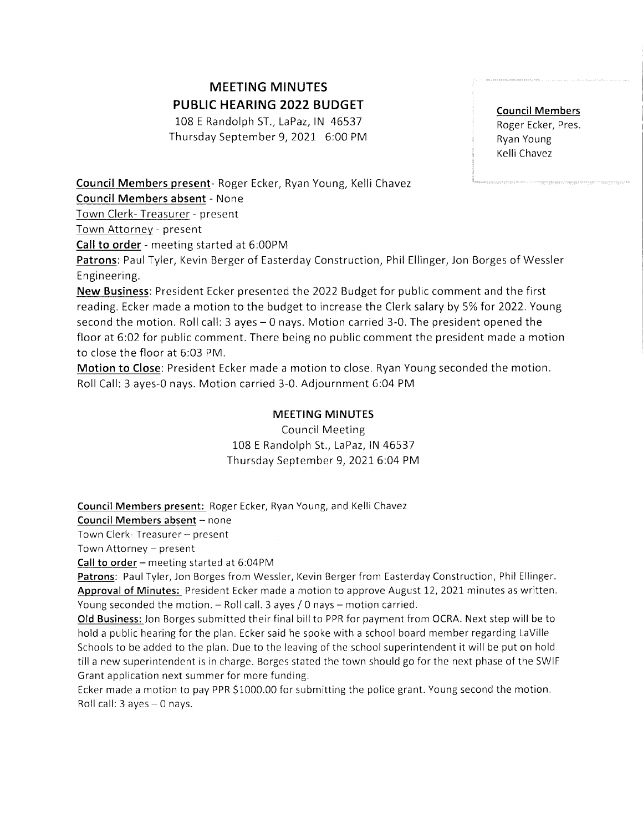## MEETING MINUTES PUBLIC HEARING 2022 BUDGET

108 E Randolph ST., LaPaz, IN 46537 Thursday September 9,2021, 6:00 PM Council Members Roger Ecker, Pres Ryan Young Kelli Chavez

Council Members present- Roger Ecker, Ryan Young, Kelli Chavez

Council Members absent - None

Town Clerk- Treasurer - present

Town Attornev - present

Call to order - meeting started at 6:00PM

Patrons: PaulTyler, Kevin Berger of Easterday Construction, Phil Ellinger, jon Borges of Wessler Engineering.

New Business: President Ecker presented the 2022 Budget for public comment and the first reading. Ecker made a motion to the budget to increase the Clerk salary by 5% for 2022. Young second the motion. Roll call:3 ayes-0 nays. Motion carried 3-0. The president opened the floor at 6:02 for public comment. There being no public comment the president made a motion to close the floor at 6:03 PM.

Motion to Close: President Ecker made a motion to close. Ryan Young seconded the motion. Roll Call: 3 ayes-0 nays. Motion carried 3-0. Adjournment 6:04 PM

## MEETING MINUTES

Council Meeting 108 E Randolph St., LaPaz, IN 46537 Thursday September 9,20216:04 PM

Council Members present: Roger Ecker, Ryan Young, and Kelli Chavez

Council Members absent - none

Town Clerk- Treasurer - present

Town Attorney - present

Call to order - meeting started at  $6:04PM$ 

Patrons: Paul Tyler, Jon Borges from Wessler, Kevin Berger from Easterday Construction, Phil Ellinger. Approval of Minutes: President Ecker made a motion to approve August 12, 2021 minutes as written. Young seconded the motion.  $-$  Roll call. 3 ayes / 0 nays  $-$  motion carried.

Old Business: Jon Borges submitted their final billto PPR for payment from OCRA. Next step will be to hold a public hearing for the plan. Ecker said he spoke with a school board member regarding LaVille Schools to be added to the plan. Due to the leaving of the school superintendent it will be put on hold till a new superintendent is in charge. Borges stated the town should go forthe next phase of the SWIF Grant application next summer for more funding.

Ecker made a motion to pay PPR S1000.00 for submitting the police grant. Young second the motion. Roll call: 3 ayes-0 nays.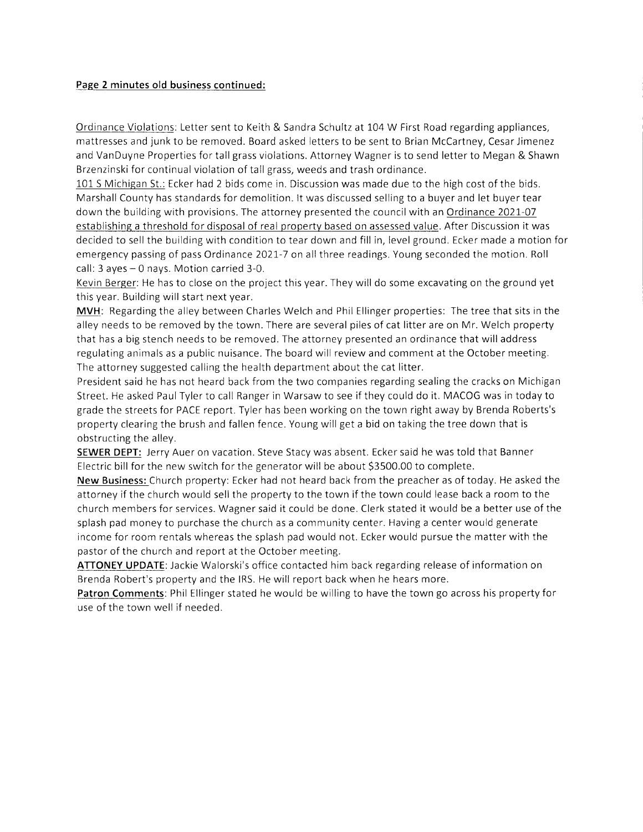## Page 2 minutes old business continued:

Ordinance Violations: Letter sent to Keith & Sandra Schultz at 104 W First Road regarding appliances, mattresses and junk to be removed. Board asked letters to be sent to Brian McCartney, Cesar Jimenez and VanDuyne Properties for tallgrass violations. Attorney Wagner is to send letter to Megan & Shawn Brzenzinski for continual violation of tall grass, weeds and trash ordinance.

101S Michigan St.: Ecker had 2 bids come in. Discussion was made due to the high cost of the bids. Marshall County has standards for demolition. lt was discussed selling to a buyer and let buyer tear down the building with provisions. The attorney presented the council with an Ordinance 2021-07 establishing a threshold for disposal of real property based on assessed value. After Discussion it was decided to sell the building with condition to tear down and fill in, level ground. Ecker made a motion for emergency passing of pass Ordinance 2021-1 on all three readings. Young seconded the motion. Roll call:  $3$  ayes  $-0$  nays. Motion carried  $3-0$ .

Kevin Berger: He has to close on the project this year. They will do some excavating on the ground yet this year. Building will start next year.

MVH: Regarding the alley between Charles Welch and Phil Ellinger properties: The tree that sits in the alley needs to be removed by the town. There are several piles of cat litter are on Mr. Welch property that has a big stench needs to be removed. The attorney presented an ordinance that will address regulating animals as a public nuisance. The board will review and comment at the October meeting. The attorney suggested calling the health department about the cat litter.

President said he has not heard back from the two companies regarding sealing the cracks on Michigan Street. He asked PaulTyler to call Ranger in Warsaw to see if they could do it. MACOG was in today to grade the streets for PACE report. Tyler has been working on the town right away by Brenda Roberts's property clearing the brush and fallen fence. Young willget a bid on taking the tree down that is obstructing the alley.

SEWER DEPT: Jerry Auer on vacation. Steve Stacy was absent. Ecker said he was told that Banner Electric bill for the new switch for the generator will be about 53500.00 to complete.

New Business: Church property: Ecker had not heard back from the preacher as of today. He asked the attorney if the church would sell the property to the town if the town could lease back a room to the church members for services. Wagner said it could be done. Clerk stated it would be a better use of the splash pad money to purchase the church as a community center. Having a center would generate income for room rentals whereas the splash pad would not. Ecker would pursue the matter with the pastor of the church and report at the October meeting.

ATTONEY UPDATE: Jackie Walorski's office contacted him back regarding release of information on Brenda Robert's property and the lRS. He will report back when he hears more.

Patron Comments: Phil Ellinger stated he would be willing to have the town go across his property for use of the town well if needed.